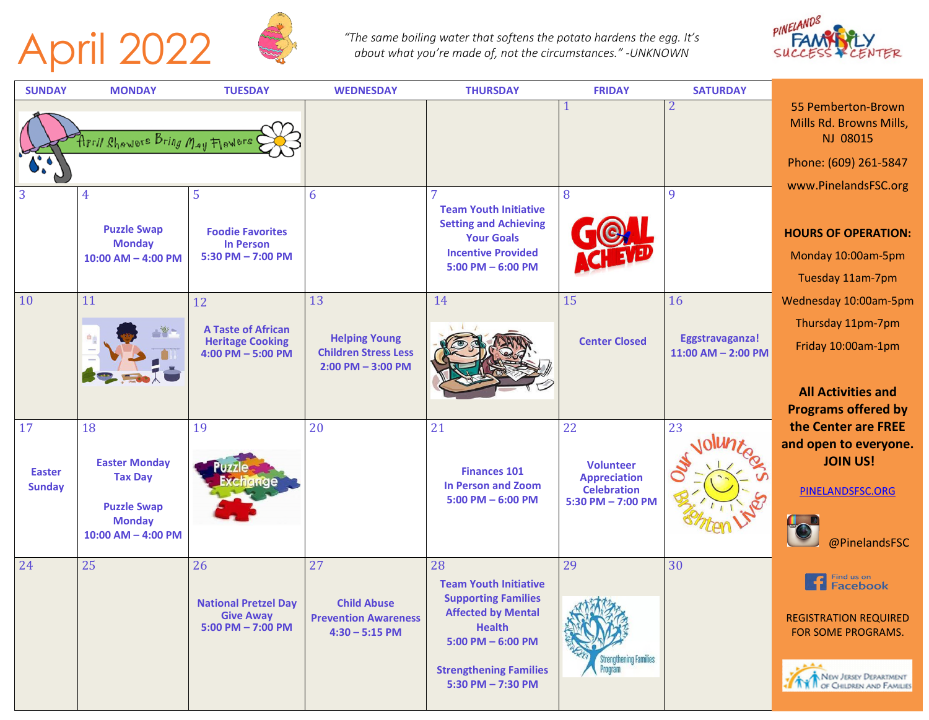



The same boiling water that softens the potato hardens the egg. It's<br>about what you're made of, not the circumstances." -UNKNOWN



| <b>SUNDAY</b> | <b>MONDAY</b>                                                 | <b>TUESDAY</b>                                                               | <b>WEDNESDAY</b>                                                             | <b>THURSDAY</b>                                                                                                                        | <b>FRIDAY</b>                               | <b>SATURDAY</b>                           |                                                                      |
|---------------|---------------------------------------------------------------|------------------------------------------------------------------------------|------------------------------------------------------------------------------|----------------------------------------------------------------------------------------------------------------------------------------|---------------------------------------------|-------------------------------------------|----------------------------------------------------------------------|
|               | April Bhowers Bring May Flowers                               |                                                                              |                                                                              |                                                                                                                                        |                                             | 2                                         | 55 Pemberton-Brown<br>Mills Rd. Browns Mills,<br>NJ 08015            |
|               |                                                               |                                                                              |                                                                              |                                                                                                                                        |                                             |                                           | Phone: (609) 261-5847                                                |
| 3             | 4                                                             | 5                                                                            | 6                                                                            |                                                                                                                                        | 8                                           | 9                                         | www.PinelandsFSC.org                                                 |
|               | <b>Puzzle Swap</b><br><b>Monday</b><br>$10:00$ AM $-$ 4:00 PM | <b>Foodie Favorites</b><br><b>In Person</b><br>5:30 PM $-$ 7:00 PM           |                                                                              | <b>Team Youth Initiative</b><br><b>Setting and Achieving</b><br><b>Your Goals</b><br><b>Incentive Provided</b><br>$5:00$ PM $-6:00$ PM |                                             |                                           | <b>HOURS OF OPERATION:</b><br>Monday 10:00am-5pm<br>Tuesday 11am-7pm |
| 10            | 11                                                            | 12                                                                           | 13                                                                           | 14                                                                                                                                     | 15                                          | 16                                        | Wednesday 10:00am-5pm                                                |
|               |                                                               | <b>A Taste of African</b><br><b>Heritage Cooking</b><br>$4:00$ PM $-5:00$ PM | <b>Helping Young</b><br><b>Children Stress Less</b><br>$2:00$ PM $-$ 3:00 PM |                                                                                                                                        | <b>Center Closed</b>                        | Eggstravaganza!<br>$11:00$ AM $- 2:00$ PM | Thursday 11pm-7pm<br>Friday 10:00am-1pm                              |
|               |                                                               |                                                                              |                                                                              |                                                                                                                                        |                                             |                                           | <b>All Activities and</b>                                            |
| 17            | 18                                                            | 19                                                                           | 20                                                                           | 21                                                                                                                                     | 22                                          | 23                                        | <b>Programs offered by</b><br>the Center are FREE                    |
| <b>Easter</b> | <b>Easter Monday</b><br><b>Tax Day</b>                        |                                                                              |                                                                              | <b>Finances 101</b>                                                                                                                    | <b>Volunteer</b><br><b>Appreciation</b>     |                                           | and open to everyone.<br><b>JOIN US!</b>                             |
| <b>Sunday</b> | <b>Puzzle Swap</b><br><b>Monday</b>                           |                                                                              |                                                                              | <b>In Person and Zoom</b><br>$5:00$ PM $-6:00$ PM                                                                                      | <b>Celebration</b><br>$5:30$ PM $- 7:00$ PM |                                           | PINELANDSFSC.ORG                                                     |
|               | $10:00$ AM $-$ 4:00 PM                                        |                                                                              |                                                                              |                                                                                                                                        |                                             |                                           | @PinelandsFSC                                                        |
| 24            | 25                                                            | 26<br><b>National Pretzel Day</b>                                            | 27<br><b>Child Abuse</b>                                                     | 28<br><b>Team Youth Initiative</b><br><b>Supporting Families</b>                                                                       | 29                                          | 30                                        | Find us on<br>Facebook                                               |
|               |                                                               | <b>Give Away</b><br>$5:00$ PM $- 7:00$ PM                                    | <b>Prevention Awareness</b><br>$4:30 - 5:15$ PM                              | <b>Affected by Mental</b><br><b>Health</b><br>$5:00$ PM $-6:00$ PM                                                                     | <b>TATARA</b>                               |                                           | <b>REGISTRATION REQUIRED</b><br>FOR SOME PROGRAMS.                   |
|               |                                                               |                                                                              |                                                                              | <b>Strengthening Families</b><br>5:30 PM - 7:30 PM                                                                                     | Strengthening Families<br>Program           |                                           | NEW JERSEY DEPARTMENT                                                |